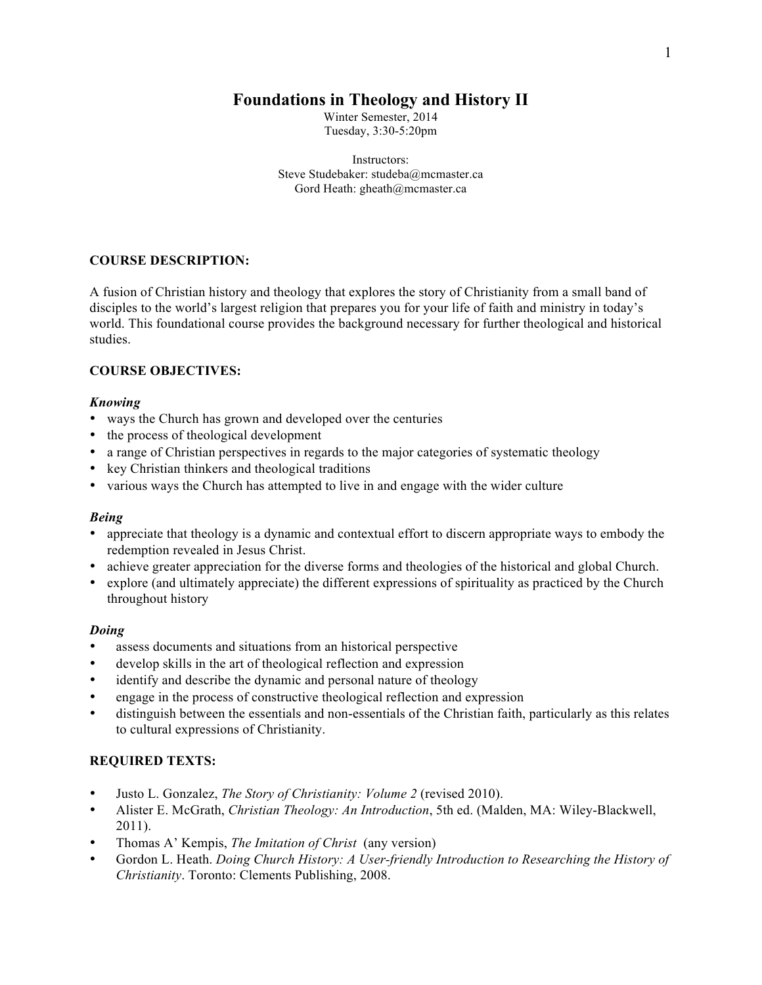# **Foundations in Theology and History II**

Winter Semester, 2014 Tuesday, 3:30-5:20pm

Instructors: Steve Studebaker: studeba@mcmaster.ca Gord Heath: gheath@mcmaster.ca

## **COURSE DESCRIPTION:**

A fusion of Christian history and theology that explores the story of Christianity from a small band of disciples to the world's largest religion that prepares you for your life of faith and ministry in today's world. This foundational course provides the background necessary for further theological and historical studies.

### **COURSE OBJECTIVES:**

#### *Knowing*

- ways the Church has grown and developed over the centuries
- the process of theological development
- a range of Christian perspectives in regards to the major categories of systematic theology
- key Christian thinkers and theological traditions
- various ways the Church has attempted to live in and engage with the wider culture

#### *Being*

- appreciate that theology is a dynamic and contextual effort to discern appropriate ways to embody the redemption revealed in Jesus Christ.
- achieve greater appreciation for the diverse forms and theologies of the historical and global Church.
- explore (and ultimately appreciate) the different expressions of spirituality as practiced by the Church throughout history

#### *Doing*

- assess documents and situations from an historical perspective
- develop skills in the art of theological reflection and expression
- identify and describe the dynamic and personal nature of theology
- engage in the process of constructive theological reflection and expression
- distinguish between the essentials and non-essentials of the Christian faith, particularly as this relates to cultural expressions of Christianity.

#### **REQUIRED TEXTS:**

- Justo L. Gonzalez, *The Story of Christianity: Volume 2* (revised 2010).
- Alister E. McGrath, *Christian Theology: An Introduction*, 5th ed. (Malden, MA: Wiley-Blackwell, 2011).
- Thomas A' Kempis, *The Imitation of Christ* (any version)
- Gordon L. Heath. *Doing Church History: A User-friendly Introduction to Researching the History of Christianity*. Toronto: Clements Publishing, 2008.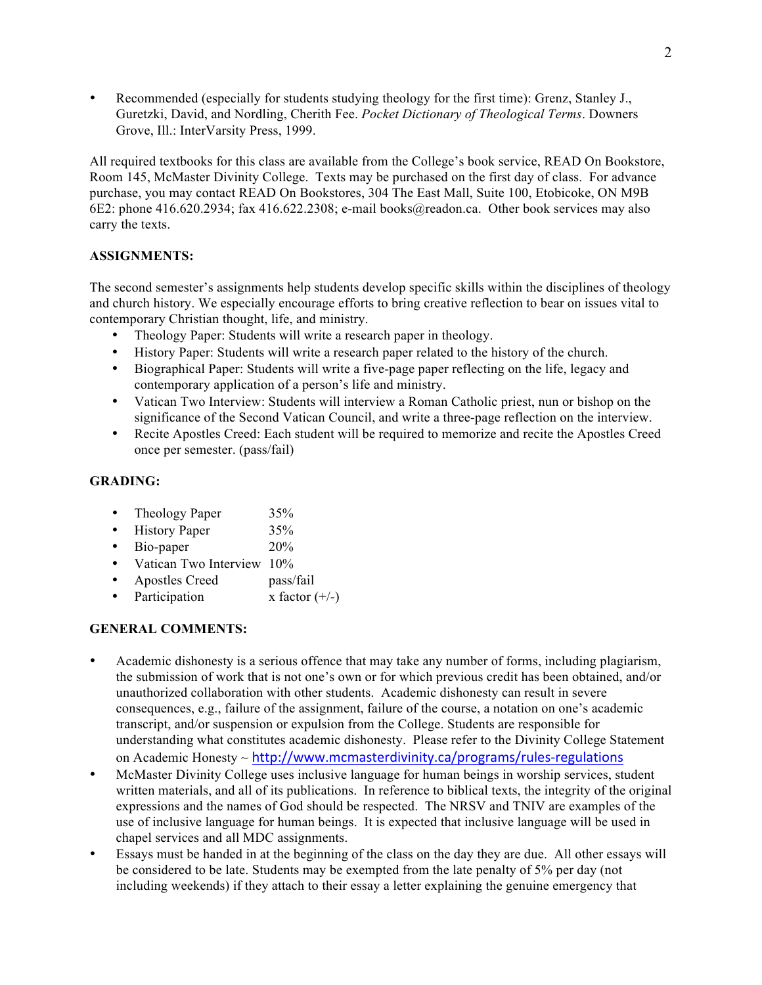• Recommended (especially for students studying theology for the first time): Grenz, Stanley J., Guretzki, David, and Nordling, Cherith Fee. *Pocket Dictionary of Theological Terms*. Downers Grove, Ill.: InterVarsity Press, 1999.

All required textbooks for this class are available from the College's book service, READ On Bookstore, Room 145, McMaster Divinity College. Texts may be purchased on the first day of class. For advance purchase, you may contact READ On Bookstores, 304 The East Mall, Suite 100, Etobicoke, ON M9B 6E2: phone 416.620.2934; fax 416.622.2308; e-mail books@readon.ca. Other book services may also carry the texts.

### **ASSIGNMENTS:**

The second semester's assignments help students develop specific skills within the disciplines of theology and church history. We especially encourage efforts to bring creative reflection to bear on issues vital to contemporary Christian thought, life, and ministry.

- Theology Paper: Students will write a research paper in theology.
- History Paper: Students will write a research paper related to the history of the church.
- Biographical Paper: Students will write a five-page paper reflecting on the life, legacy and contemporary application of a person's life and ministry.
- Vatican Two Interview: Students will interview a Roman Catholic priest, nun or bishop on the significance of the Second Vatican Council, and write a three-page reflection on the interview.
- Recite Apostles Creed: Each student will be required to memorize and recite the Apostles Creed once per semester. (pass/fail)

## **GRADING:**

- Theology Paper 35%
- History Paper 35%
- Bio-paper 20%
- Vatican Two Interview 10%
- Apostles Creed pass/fail
- Participation  $x$  factor  $(+/-)$

## **GENERAL COMMENTS:**

- Academic dishonesty is a serious offence that may take any number of forms, including plagiarism, the submission of work that is not one's own or for which previous credit has been obtained, and/or unauthorized collaboration with other students. Academic dishonesty can result in severe consequences, e.g., failure of the assignment, failure of the course, a notation on one's academic transcript, and/or suspension or expulsion from the College. Students are responsible for understanding what constitutes academic dishonesty. Please refer to the Divinity College Statement on Academic Honesty ~ http://www.mcmasterdivinity.ca/programs/rules-regulations
- McMaster Divinity College uses inclusive language for human beings in worship services, student written materials, and all of its publications. In reference to biblical texts, the integrity of the original expressions and the names of God should be respected. The NRSV and TNIV are examples of the use of inclusive language for human beings. It is expected that inclusive language will be used in chapel services and all MDC assignments.
- Essays must be handed in at the beginning of the class on the day they are due. All other essays will be considered to be late. Students may be exempted from the late penalty of 5% per day (not including weekends) if they attach to their essay a letter explaining the genuine emergency that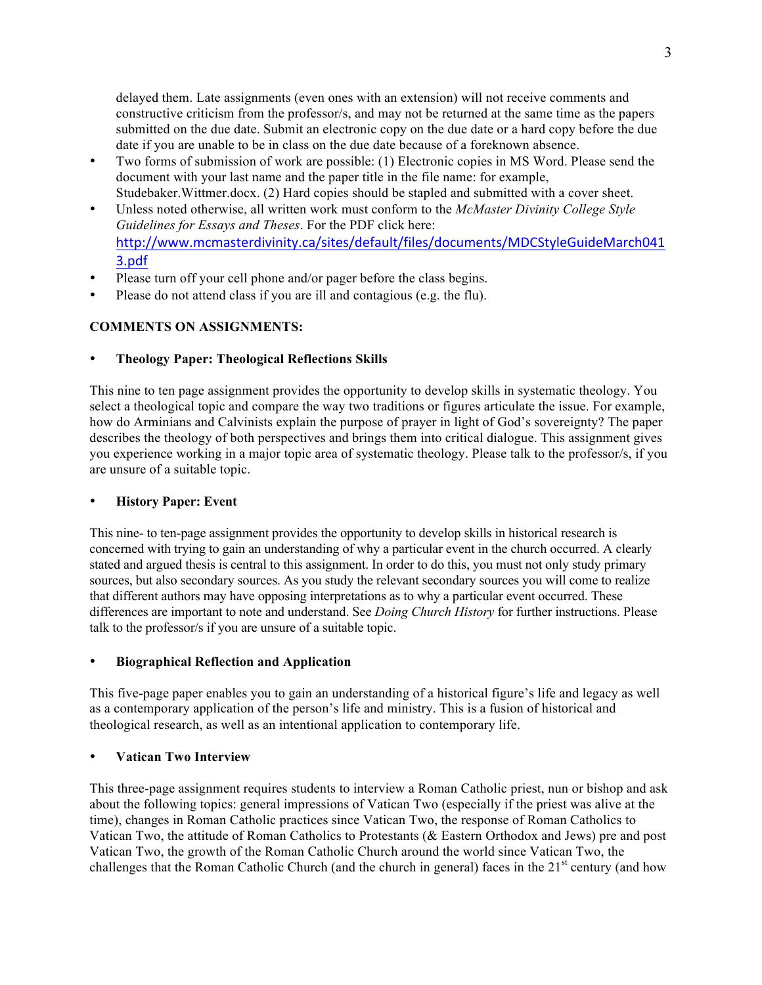delayed them. Late assignments (even ones with an extension) will not receive comments and constructive criticism from the professor/s, and may not be returned at the same time as the papers submitted on the due date. Submit an electronic copy on the due date or a hard copy before the due date if you are unable to be in class on the due date because of a foreknown absence.

- Two forms of submission of work are possible: (1) Electronic copies in MS Word. Please send the document with your last name and the paper title in the file name: for example, Studebaker.Wittmer.docx. (2) Hard copies should be stapled and submitted with a cover sheet.
- Unless noted otherwise, all written work must conform to the *McMaster Divinity College Style Guidelines for Essays and Theses*. For the PDF click here: http://www.mcmasterdivinity.ca/sites/default/files/documents/MDCStyleGuideMarch041 3.pdf
- Please turn off your cell phone and/or pager before the class begins.
- Please do not attend class if you are ill and contagious (e.g. the flu).

### **COMMENTS ON ASSIGNMENTS:**

### • **Theology Paper: Theological Reflections Skills**

This nine to ten page assignment provides the opportunity to develop skills in systematic theology. You select a theological topic and compare the way two traditions or figures articulate the issue. For example, how do Arminians and Calvinists explain the purpose of prayer in light of God's sovereignty? The paper describes the theology of both perspectives and brings them into critical dialogue. This assignment gives you experience working in a major topic area of systematic theology. Please talk to the professor/s, if you are unsure of a suitable topic.

### • **History Paper: Event**

This nine- to ten-page assignment provides the opportunity to develop skills in historical research is concerned with trying to gain an understanding of why a particular event in the church occurred. A clearly stated and argued thesis is central to this assignment. In order to do this, you must not only study primary sources, but also secondary sources. As you study the relevant secondary sources you will come to realize that different authors may have opposing interpretations as to why a particular event occurred. These differences are important to note and understand. See *Doing Church History* for further instructions. Please talk to the professor/s if you are unsure of a suitable topic.

### • **Biographical Reflection and Application**

This five-page paper enables you to gain an understanding of a historical figure's life and legacy as well as a contemporary application of the person's life and ministry. This is a fusion of historical and theological research, as well as an intentional application to contemporary life.

### • **Vatican Two Interview**

This three-page assignment requires students to interview a Roman Catholic priest, nun or bishop and ask about the following topics: general impressions of Vatican Two (especially if the priest was alive at the time), changes in Roman Catholic practices since Vatican Two, the response of Roman Catholics to Vatican Two, the attitude of Roman Catholics to Protestants (& Eastern Orthodox and Jews) pre and post Vatican Two, the growth of the Roman Catholic Church around the world since Vatican Two, the challenges that the Roman Catholic Church (and the church in general) faces in the  $21<sup>st</sup>$  century (and how